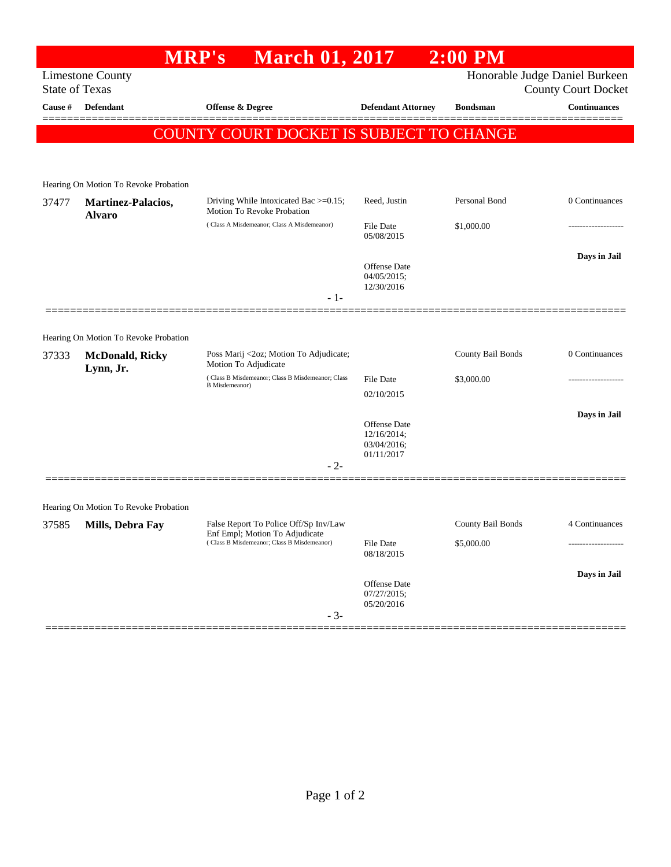## **MRP's March 01, 2017 2:00 PM** Limestone County Honorable Judge Daniel Burkeen State of Texas County Court Docket **Cause # Defendant Offense & Degree Defendant Attorney Bondsman Continuances** ============================================================================================== COUNTY COURT DOCKET IS SUBJECT TO CHANGE Hearing On Motion To Revoke Probation 37477 **Martinez-Palacios, Alvaro** Driving While Intoxicated Bac >=0.15; Motion To Revoke Probation Reed, Justin Personal Bond 0 Continuances ( Class A Misdemeanor; Class A Misdemeanor) File Date \$1,000.00 ------------------- 05/08/2015 **Days in Jail**  Offense Date 04/05/2015; 12/30/2016 - 1- ==============================================================================================

## Hearing On Motion To Revoke Probation

| 37333 | <b>McDonald, Ricky</b><br>Lynn, Jr.   | Poss Marij <2oz; Motion To Adjudicate;<br>Motion To Adjudicate                                                        |                                           | County Bail Bonds | 0 Continuances |
|-------|---------------------------------------|-----------------------------------------------------------------------------------------------------------------------|-------------------------------------------|-------------------|----------------|
|       |                                       | (Class B Misdemeanor; Class B Misdemeanor; Class<br><b>B</b> Misdemeanor)                                             | <b>File Date</b>                          | \$3,000.00        |                |
|       |                                       |                                                                                                                       | 02/10/2015                                |                   |                |
|       |                                       |                                                                                                                       |                                           |                   | Days in Jail   |
|       |                                       |                                                                                                                       | Offense Date<br>12/16/2014;               |                   |                |
|       |                                       |                                                                                                                       | 03/04/2016;                               |                   |                |
|       |                                       | $-2-$                                                                                                                 | 01/11/2017                                |                   |                |
|       |                                       |                                                                                                                       |                                           |                   |                |
|       |                                       |                                                                                                                       |                                           |                   |                |
|       | Hearing On Motion To Revoke Probation |                                                                                                                       |                                           |                   |                |
| 37585 | Mills, Debra Fay                      | False Report To Police Off/Sp Inv/Law<br>Enf Empl; Motion To Adjudicate<br>(Class B Misdemeanor; Class B Misdemeanor) |                                           | County Bail Bonds | 4 Continuances |
|       |                                       |                                                                                                                       | File Date<br>08/18/2015                   | \$5,000.00        |                |
|       |                                       |                                                                                                                       |                                           |                   | Days in Jail   |
|       |                                       |                                                                                                                       | Offense Date<br>07/27/2015;<br>05/20/2016 |                   |                |
|       |                                       | $-3-$                                                                                                                 |                                           |                   |                |
|       |                                       |                                                                                                                       |                                           |                   |                |